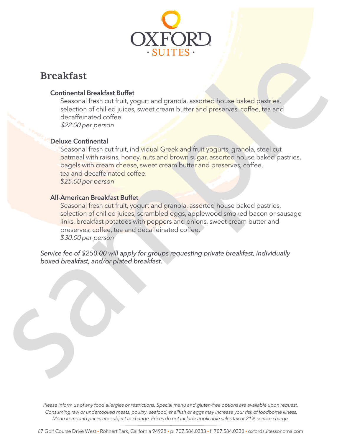

# **Breakfast**

## Continental Breakfast Buffet

Seasonal fresh cut fruit, yogurt and granola, assorted house baked pastries, selection of chilled juices, sweet cream butter and preserves, coffee, tea and decaffeinated coffee.

\$22.00 *per person*

# Deluxe Continental

Seasonal fresh cut fruit, individual Greek and fruit yogurts, granola, steel cut oatmeal with raisins, honey, nuts and brown sugar, assorted house baked pastries, bagels with cream cheese, sweet cream butter and preserves, coffee, tea and decaffeinated coffee. *\$*25.00 *per person*

# All-American Breakfast Buffet

Seasonal fresh cut fruit, yogurt and granola, assorted house baked pastries, selection of chilled juices, scrambled eggs, applewood smoked bacon or sausage links, breakfast potatoes with peppers and onions, sweet cream butter and preserves, coffee, tea and decaffeinated coffee. *\$*30.00 *per person*

Service fee of \$250.00 will apply for groups requesting private breakfast, individually boxed breakfast, and/or plated breakfast.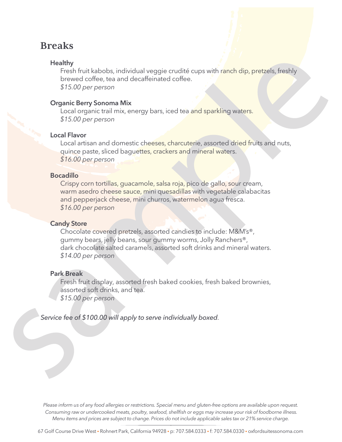# **Breaks**

### **Healthy**

Fresh fruit kabobs, individual veggie crudité cups with ranch dip, pretzels, freshly brewed coffee, tea and decaffeinated coffee. *\$15.00 per person*

### Organic Berry Sonoma Mix

Local organic trail mix, energy bars, iced tea and sparkling waters. *\$15.00 per person*

### Local Flavor

Local artisan and domestic cheeses, charcuterie, assorted dried fruits and nuts, quince paste, sliced baguettes, crackers and mineral waters. *\$16.00 per person*

### Bocadillo

Crispy corn tortillas, guacamole, salsa roja, pico de gallo, sour cream, warm asedro cheese sauce, mini quesadillas with vegetable calabacitas and pepperjack cheese, mini churros, watermelon agua fresca. *\$16.00 per person*

### Candy Store

Chocolate covered pretzels, assorted candies to include: M&M's®, gummy bears, jelly beans, sour gummy worms, Jolly Ranchers®, dark chocolate salted caramels, assorted soft drinks and mineral waters. *\$14.00 per person*

### Park Break

Fresh fruit display, assorted fresh baked cookies, fresh baked brownies, assorted soft drinks, and tea. *\$1*5*.00 per person*

Service fee of \$100.00 will apply to serve individually boxed*.*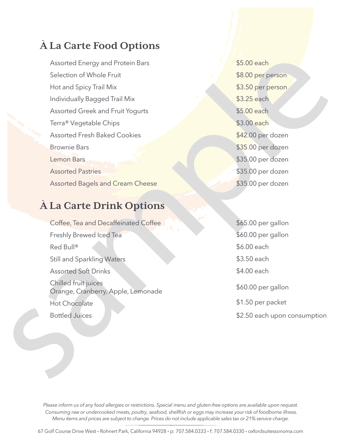# **À La Carte Food Options**

Assorted Energy and Protein Bars Selection of Whole Fruit Hot and Spicy Trail Mix Individually Bagged Trail Mix Assorted Greek and Fruit Yogurts Terra® Vegetable Chips **Assorted Fresh Baked Cookies** Brownie Bars Lemon Bars **Assorted Pastries Assorted Bagels and Cream Cheese** 

# **À La Carte Drink Options**

Coffee, Tea and Decaffeinated Coffee Freshly Brewed Iced Tea Red Bull® Still and Sparkling Waters Assorted Soft Drinks Chilled fruit juices Orange, Cranberry, Apple, Lemonade Hot Chocolate Bottled Juices

\$5.00 each \$8.00 per person \$3.50 per person \$3.25 each \$5.00 each \$3.00 each \$42.00 per dozen \$35.00 per dozen \$35.00 per dozen \$35.00 per dozen \$35.00 per dozen

\$6.00 each \$3.50 each \$4.00 each \$60.00 per gallon \$1.50 per packet \$2.50 each upon consumption \$65.00 per gallon \$60.00 per gallon

Please inform us of any food allergies or restrictions. Special menu and gluten-free options are available upon request. Consuming raw or undercooked meats, poultry, seafood, shellfish or eggs may increase your risk of foodborne illness. Menu items and prices are subject to change. Prices do not include applicable sales tax or 21% service charge.

67 Golf Course Drive West • Rohnert Park, California 94928 • p: 707.584.0333 • f: 707.584.0330 • oxfordsuitessonoma.com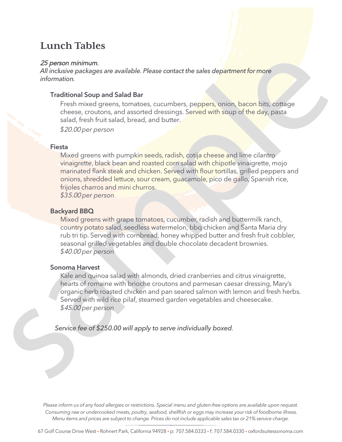# **Lunch Tables**

### 25 person minimum.

*All inclusive packages are available. Please contact the sales department for more information.*

### Traditional Soup and Salad Bar

Fresh mixed greens, tomatoes, cucumbers, peppers, onion, bacon bits, cottage cheese, croutons, and assorted dressings. Served with soup of the day, pasta salad, fresh fruit salad, bread, and butter.

*\$*20.00 *per person*

### Fiesta

Mixed greens with pumpkin seeds, radish, cotija cheese and lime cilantro vinaigrette, black bean and roasted corn salad with chipotle vinaigrette, mojo marinated flank steak and chicken. Served with flour tortillas, grilled peppers and onions, shredded lettuce, sour cream, guacamole, pico de gallo, Spanish rice, frijoles charros and mini churros.

*\$3*5.00 *per person*

### Backyard BBQ

Mixed greens with grape tomatoes, cucumber, radish and buttermilk ranch, country potato salad, seedless watermelon, bbq chicken and Santa Maria dry rub tri tip. Served with cornbread, honey whipped butter and fresh fruit cobbler, seasonal grilled vegetables and double chocolate decadent brownies. *\$*40.00 *per person*

### Sonoma Harvest

Kale and quinoa salad with almonds, dried cranberries and citrus vinaigrette, hearts of romaine with brioche croutons and parmesan caesar dressing, Mary's organic herb roasted chicken and pan seared salmon with lemon and fresh herbs. Served with wild rice pilaf, steamed garden vegetables and cheesecake. *\$*45.00 *per person*

Service fee of \$250.00 will apply to serve individually boxed*.*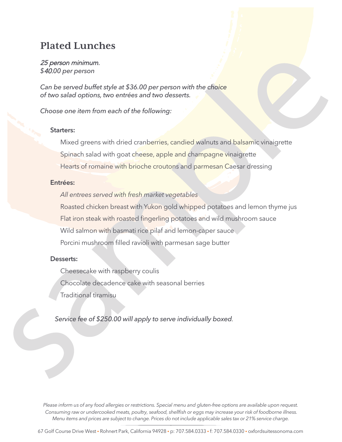# **Plated Lunches**

### 25 person minimum. *\$*40.*00 per person*

*Can be served buffet style at \$36.00 per person with the choice of two salad options, two entrées and two desserts.*

### *Choose one item from each of the following:*

### Starters:

Mixed greens with dried cranberries, candied walnuts and balsamic vinaigrette Spinach salad with goat cheese, apple and champagne vinaigrette Hearts of romaine with brioche croutons and parmesan Caesar dressing

## Entrées:

*All entrees served with fresh market vegetables*

Roasted chicken breast with Yukon gold whipped potatoes and lemon thyme jus Flat iron steak with roasted fingerling potatoes and wild mushroom sauce Wild salmon with basmati rice pilaf and lemon-caper sauce Porcini mushroom filled ravioli with parmesan sage butter

### Desserts:

Cheesecake with raspberry coulis Chocolate decadence cake with seasonal berries Traditional tiramisu

Service fee of \$250.00 will apply to serve individually boxed*.*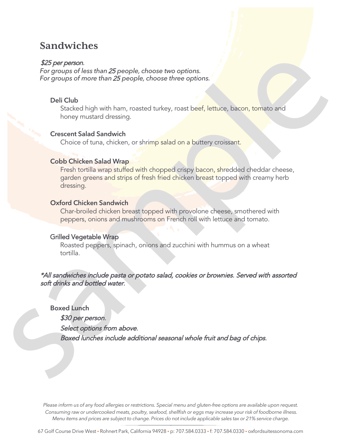# **Sandwiches**

## \$25 per person.

*For groups of less than*25 *people, choose two options. For groups of more than*25 *people, choose three options.*

## Deli Club

Stacked high with ham, roasted turkey, roast beef, lettuce, bacon, tomato and honey mustard dressing.

### Crescent Salad Sandwich

Choice of tuna, chicken, or shrimp salad on a buttery croissant.

## Cobb Chicken Salad Wrap

Fresh tortilla wrap stuffed with chopped crispy bacon, shredded cheddar cheese, garden greens and strips of fresh fried chicken breast topped with creamy herb dressing.

### Oxford Chicken Sandwich

Char-broiled chicken breast topped with provolone cheese, smothered with peppers, onions and mushrooms on French roll with lettuce and tomato.

# Grilled Vegetable Wrap

Roasted peppers, spinach, onions and zucchini with hummus on a wheat tortilla.

# \*All sandwiches include pasta or potato salad, cookies or brownies. Served with assorted soft drinks and bottled water.

Boxed Lunch \$30 per person. Select options from above. Boxed lunches include additional seasonal whole fruit and bag of chips.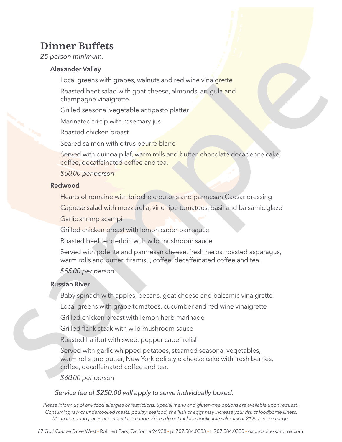# **Dinner Buffets**

25 person minimum.

## Alexander Valley

Local greens with grapes, walnuts and red wine vinaigrette

Roasted beet salad with goat cheese, almonds, arugula and champagne vinaigrette

Grilled seasonal vegetable antipasto platter

Marinated tri-tip with rosemary jus

Roasted chicken breast

Seared salmon with citrus beurre blanc

Served with quinoa pilaf, warm rolls and butter, chocolate decadence cake, coffee, decaffeinated coffee and tea.

# *\$*50*.00 per person*

### Redwood

Hearts of romaine with brioche croutons and parmesan Caesar dressing

Caprese salad with mozzarella, vine ripe tomatoes, basil and balsamic glaze

Garlic shrimp scampi

Grilled chicken breast with lemon caper pan sauce

Roasted beef tenderloin with wild mushroom sauce

Served with polenta and parmesan cheese, fresh herbs, roasted asparagus, warm rolls and butter, tiramisu, coffee, decaffeinated coffee and tea.

*\$*55*.00 per person*

# Russian River

Baby spinach with apples, pecans, goat cheese and balsamic vinaigrette

Local greens with grape tomatoes, cucumber and red wine vinaigrette

Grilled chicken breast with lemon herb marinade

Grilled flank steak with wild mushroom sauce

Roasted halibut with sweet pepper caper relish

Served with garlic whipped potatoes, steamed seasonal vegetables, warm rolls and butter, New York deli style cheese cake with fresh berries, coffee, decaffeinated coffee and tea.

*\$*60*.00 per person*

# Service fee of \$250.00 will apply to serve individually boxed*.*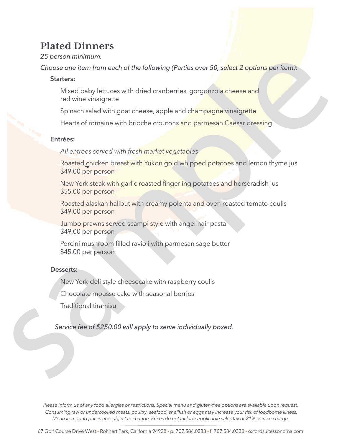# **Plated Dinners**

# 25 person minimum.

*Choose one item from each of the following* (Parties over 50, select 2 options per item):

# Starters:

Mixed baby lettuces with dried cranberries, gorgonzola cheese and red wine vinaigrette

Spinach salad with goat cheese, apple and champagne vinaigrette

Hearts of romaine with brioche croutons and parmesan Caesar dressing

## Entrées:

*All entrees served with fresh market vegetables*

Roasted chicken breast with Yukon gold whipped potatoes and lemon thyme jus \$49.00 per person

New York steak with garlic roasted fingerling potatoes and horseradish jus \$55.00 per person

Roasted alaskan halibut with creamy polenta and oven roasted tomato coulis \$49.00 per person

Jumbo prawns served scampi style with angel hair pasta \$49.00 per person

Porcini mushroom filled ravioli with parmesan sage butter \$45.00 per person

### Desserts:

New York deli style cheesecake with raspberry coulis

Chocolate mousse cake with seasonal berries

Traditional tiramisu

Service fee of \$250.00 will apply to serve individually boxed*.*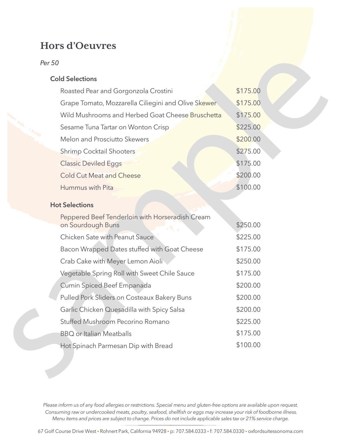# **Hors d'Oeuvres**

*Per 50*

# Cold Selections

| Roasted Pear and Gorgonzola Crostini                                 | \$175.00 |
|----------------------------------------------------------------------|----------|
| Grape Tomato, Mozzarella Ciliegini and Olive Skewer                  | \$175.00 |
| Wild Mushrooms and Herbed Goat Cheese Bruschetta                     | \$175.00 |
| Sesame Tuna Tartar on Wonton Crisp                                   | \$225.00 |
| Melon and Prosciutto Skewers                                         | \$200.00 |
| <b>Shrimp Cocktail Shooters</b>                                      | \$275.00 |
| <b>Classic Deviled Eggs</b>                                          | \$175.00 |
| <b>Cold Cut Meat and Cheese</b>                                      | \$200.00 |
| Hummus with Pita                                                     | \$100.00 |
| <b>Hot Selections</b>                                                |          |
| Peppered Beef Tenderloin with Horseradish Cream<br>on Sourdough Buns | \$250.00 |
| Chicken Sate with Peanut Sauce                                       | \$225.00 |
| Bacon Wrapped Dates stuffed with Goat Cheese                         | \$175.00 |
| Crab Cake with Meyer Lemon Aioli                                     | \$250.00 |
| Vegetable Spring Roll with Sweet Chile Sauce                         | \$175.00 |
| Cumin Spiced Beef Empanada                                           | \$200.00 |
| Pulled Pork Sliders on Costeaux Bakery Buns                          | \$200.00 |

Garlic Chicken Quesadilla with Spicy Salsa

Stuffed Mushroom Pecorino Romano

Hot Spinach Parmesan Dip with Bread

**BBQ** or Italian Meatballs

Please inform us of any food allergies or restrictions. Special menu and gluten-free options are available upon request. Consuming raw or undercooked meats, poultry, seafood, shellfish or eggs may increase your risk of foodborne illness. Menu items and prices are subject to change. Prices do not include applicable sales tax or 21% service charge.

\$200.00

\$225.00

\$175.00

\$100.00

67 Golf Course Drive West • Rohnert Park, California 94928 • p: 707.584.0333 • f: 707.584.0330 • oxfordsuitessonoma.com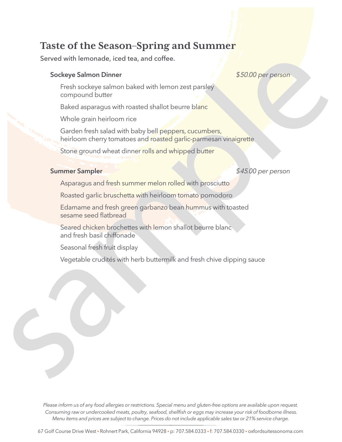# **Taste of the Season–Spring and Summer**

Served with lemonade, iced tea, and coffee.

## Sockeye Salmon Dinner *\$*50.*00 per person*

Fresh sockeye salmon baked with lemon zest parsley compound butter

Baked asparagus with roasted shallot beurre blanc

Whole grain heirloom rice

Garden fresh salad with baby bell peppers, cucumbers, heirloom cherry tomatoes and roasted garlic-parmesan vinaigrette

Stone ground wheat dinner rolls and whipped butter

# Summer Sampler *\$*45*.00 per person*

Asparagus and fresh summer melon rolled with prosciutto

Roasted garlic bruschetta with heirloom tomato pomodoro

Edamame and fresh green garbanzo bean hummus with toasted sesame seed flatbread

Seared chicken brochettes with lemon shallot beurre blanc and fresh basil chiffonade

Seasonal fresh fruit display

Vegetable crudités with herb buttermilk and fresh chive dipping sauce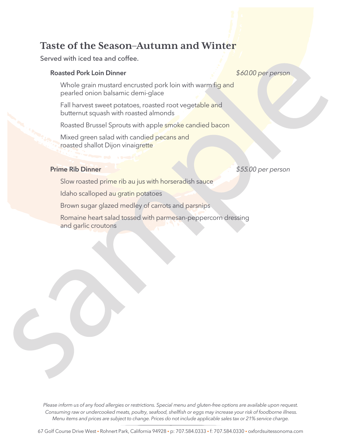# **Taste of the Season–Autumn and Winter**

### Served with iced tea and coffee.

### Roasted Pork Loin Dinner *\$*60*.00 per person*

Whole grain mustard encrusted pork loin with warm fig and pearled onion balsamic demi-glace

Fall harvest sweet potatoes, roasted root vegetable and butternut squash with roasted almonds

Roasted Brussel Sprouts with apple smoke candied bacon

Mixed green salad with candied pecans and roasted shallot Dijon vinaigrette

## Prime Rib Dinner *\$*55*.00 per person*

Slow roasted prime rib au jus with horseradish sauce

Idaho scalloped au gratin potatoes

Brown sugar glazed medley of carrots and parsnips

Romaine heart salad tossed with parmesan-peppercorn dressing and garlic croutons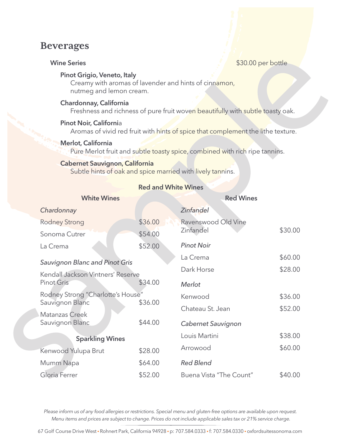# **Beverages**

### Pinot Grigio, Veneto, Italy

Creamy with aromas of lavender and hints of cinnamon, nutmeg and lemon cream.

### Chardonnay, California

Freshness and richness of pure fruit woven beautifully with subtle toasty oak.

### Pinot Noir, California

Aromas of vivid red fruit with hints of spice that complement the lithe texture.

### Merlot, California

Pure Merlot fruit and subtle toasty spice, combined with rich ripe tannins.

### Cabernet Sauvignon, California

Subtle hints of oak and spice married with lively tannins.

| <b>White Wines</b>                    |         | <b>Red Wines</b>        |         |
|---------------------------------------|---------|-------------------------|---------|
| Chardonnay                            |         | <b>Zinfandel</b>        |         |
| Rodney Strong                         | \$36.00 | Ravenswood Old Vine     |         |
| \$54.00<br>Sonoma Cutrer              |         | Zinfandel               | \$30.00 |
| La Crema                              | \$52.00 | <b>Pinot Noir</b>       |         |
| <b>Sauvignon Blanc and Pinot Gris</b> |         | La Crema                | \$60.00 |
| Kendall Jackson Vintners' Reserve     |         | Dark Horse              | \$28.00 |
| Pinot Gris                            | \$34.00 | <b>Merlot</b>           |         |
| Rodney Strong "Charlotte's House"     |         | Kenwood                 | \$36.00 |
| Sauvignon Blanc                       | \$36.00 | Chateau St. Jean        | \$52.00 |
| Matanzas Creek<br>Sauvignon Blanc     | \$44.00 | Cabernet Sauvignon      |         |
| <b>Sparkling Wines</b>                |         | Louis Martini           | \$38.00 |
| Kenwood Yulupa Brut                   | \$28.00 | Arrowood                | \$60.00 |
| Mumm Napa                             | \$64.00 | <b>Red Blend</b>        |         |
| Gloria Ferrer                         | \$52.00 | Buena Vista "The Count" | \$40.00 |

## Red and White Wines

Please inform us of any food allergies or restrictions. Special menu and gluten-free options are available upon request. Menu items and prices are subject to change. Prices do not include applicable sales tax or 21% service charge.

67 Golf Course Drive West • Rohnert Park, California 94928 • p: 707.584.0333 • f: 707.584.0330 • oxfordsuitessonoma.com

### Wine Series **All Accords**  $\sim$  \$30.00 per bottle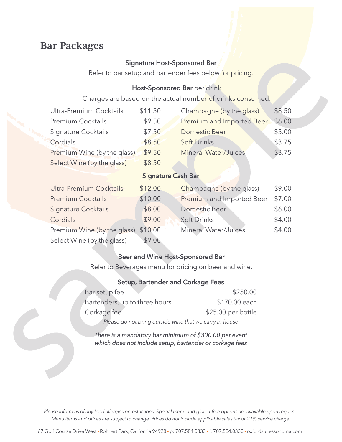# **Bar Packages**

### Signature Host-Sponsored Bar

Refer to bar setup and bartender fees below for pricing.

## Host-Sponsored Bar per drink

Charges are based on the actual number of drinks consumed.

| Ultra-Premium Cocktails     | \$11.50 | Champagne (by the glass)    | \$8.50 |
|-----------------------------|---------|-----------------------------|--------|
| <b>Premium Cocktails</b>    | \$9.50  | Premium and Imported Beer   | \$6.00 |
| Signature Cocktails         | \$7.50  | <b>Domestic Beer</b>        | \$5.00 |
| Cordials                    | \$8.50  | <b>Soft Drinks</b>          | \$3.75 |
| Premium Wine (by the glass) | \$9.50  | <b>Mineral Water/Juices</b> | \$3.75 |
| Select Wine (by the glass)  | \$8.50  |                             |        |

# Signature Cash Bar

| Ultra-Premium Cocktails             | \$12.00 | Champagne (by the glass)    | \$9.00 |
|-------------------------------------|---------|-----------------------------|--------|
| <b>Premium Cocktails</b>            | \$10.00 | Premium and Imported Beer   | \$7.00 |
| <b>Signature Cocktails</b>          | \$8.00  | <b>Domestic Beer</b>        | \$6.00 |
| Cordials                            | \$9.00  | <b>Soft Drinks</b>          | \$4.00 |
| Premium Wine (by the glass) \$10.00 |         | <b>Mineral Water/Juices</b> | \$4.00 |
| Select Wine (by the glass)          | \$9.00  |                             |        |

# Beer and Wine Host-Sponsored Bar

Refer to Beverages menu for pricing on beer and wine.

# Setup, Bartender and Corkage Fees

| Bar setup fee                                           | \$250.00           |  |
|---------------------------------------------------------|--------------------|--|
| Bartenders, up to three hours                           | \$170.00 each      |  |
| Corkage fee                                             | \$25.00 per bottle |  |
| Please do not bring outside wine that we carry in-house |                    |  |

*There is a mandatory bar minimum of \$300.00 per event which does not include setup, bartender or corkage fees*

Please inform us of any food allergies or restrictions. Special menu and gluten-free options are available upon request. Menu items and prices are subject to change. Prices do not include applicable sales tax or 21% service charge.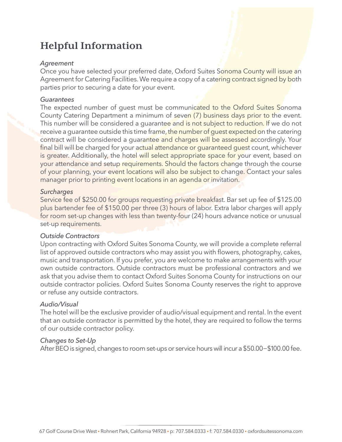# **Helpful Information**

# *Agreement*

Once you have selected your preferred date, Oxford Suites Sonoma County will issue an Agreement for Catering Facilities. We require a copy of a catering contract signed by both parties prior to securing a date for your event.

# *Guarantees*

The expected number of guest must be communicated to the Oxford Suites Sonoma County Catering Department a minimum of seven (7) business days prior to the event. This number will be considered a quarantee and is not subject to reduction. If we do not receive a guarantee outside this time frame, the number of guest expected on the catering contract will be considered a guarantee and charges will be assessed accordingly. Your final bill will be charged for your actual attendance or guaranteed guest count, whichever is greater. Additionally, the hotel will select appropriate space for your event, based on your attendance and setup requirements. Should the factors change through the course of your planning, your event locations will also be subject to change. Contact your sales manager prior to printing event locations in an agenda or invitation.

# *Surcharges*

Service fee of \$250.00 for groups requesting private breakfast. Bar set up fee of \$125.00 plus bartender fee of \$150.00 per three (3) hours of labor. Extra labor charges will apply for room set-up changes with less than twenty-four (24) hours advance notice or unusual set-up requirements.

# *Outside Contractors*

Upon contracting with Oxford Suites Sonoma County, we will provide a complete referral list of approved outside contractors who may assist you with flowers, photography, cakes, music and transportation. If you prefer, you are welcome to make arrangements with your own outside contractors. Outside contractors must be professional contractors and we ask that you advise them to contact Oxford Suites Sonoma County for instructions on our outside contractor policies. Oxford Suites Sonoma County reserves the right to approve or refuse any outside contractors.

# *Audio/Visual*

The hotel will be the exclusive provider of audio/visual equipment and rental. In the event that an outside contractor is permitted by the hotel, they are required to follow the terms of our outside contractor policy.

# *Changes to Set-Up*

After BEO is signed, changes to room set-ups or service hours will incur a \$50.00−\$100.00 fee.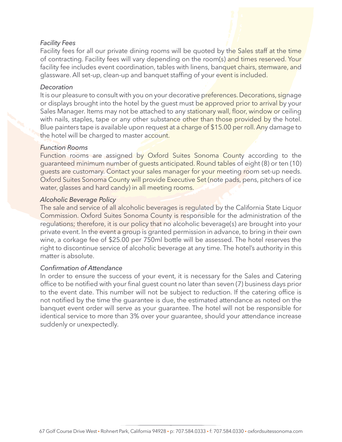## *Facility Fees*

Facility fees for all our private dining rooms will be quoted by the Sales staff at the time of contracting. Facility fees will vary depending on the room(s) and times reserved. Your facility fee includes event coordination, tables with linens, banquet chairs, stemware, and glassware. All set-up, clean-up and banquet staffing of your event is included.

### *Decoration*

It is our pleasure to consult with you on your decorative preferences. Decorations, signage or displays brought into the hotel by the guest must be approved prior to arrival by your Sales Manager. Items may not be attached to any stationary wall, floor, window or ceiling with nails, staples, tape or any other substance other than those provided by the hotel. Blue painters tape is available upon request at a charge of \$15.00 per roll. Any damage to the hotel will be charged to master account.

### *Function Rooms*

Function rooms are assigned by Oxford Suites Sonoma County according to the guaranteed minimum number of guests anticipated. Round tables of eight (8) or ten (10) guests are customary. Contact your sales manager for your meeting room set-up needs. Oxford Suites Sonoma County will provide Executive Set (note pads, pens, pitchers of ice water, glasses and hard candy) in all meeting rooms.

### *Alcoholic Beverage Policy*

The sale and service of all alcoholic beverages is regulated by the California State Liquor Commission. Oxford Suites Sonoma County is responsible for the administration of the regulations; therefore, it is our policy that no alcoholic beverage(s) are brought into your private event. In the event a group is granted permission in advance, to bring in their own wine, a corkage fee of \$25.00 per 750ml bottle will be assessed. The hotel reserves the right to discontinue service of alcoholic beverage at any time. The hotel's authority in this matter is absolute.

### *Confirmation of Attendance*

In order to ensure the success of your event, it is necessary for the Sales and Catering office to be notified with your final guest count no later than seven (7) business days prior to the event date. This number will not be subject to reduction. If the catering office is not notified by the time the guarantee is due, the estimated attendance as noted on the banquet event order will serve as your guarantee. The hotel will not be responsible for identical service to more than 3% over your guarantee, should your attendance increase suddenly or unexpectedly.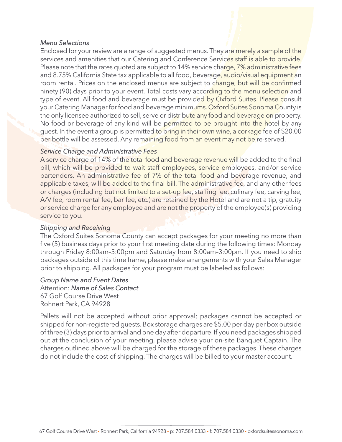### *Menu Selections*

Enclosed for your review are a range of suggested menus. They are merely a sample of the services and amenities that our Catering and Conference Services staff is able to provide. Please note that the rates quoted are subject to 14% service charge, 7% administrative fees and 8.75% California State tax applicable to all food, beverage, audio/visual equipment an room rental. Prices on the enclosed menus are subject to change, but will be confirmed ninety (90) days prior to your event. Total costs vary according to the menu selection and type of event. All food and beverage must be provided by Oxford Suites. Please consult your Catering Manager for food and beverage minimums. Oxford Suites Sonoma County is the only licensee authorized to sell, serve or distribute any food and beverage on property. No food or beverage of any kind will be permitted to be brought into the hotel by any guest. In the event a group is permitted to bring in their own wine, a corkage fee of \$20.00 per bottle will be assessed. Any remaining food from an event may not be re-served.

### *Service Charge and Administrative Fees*

A service charge of 14% of the total food and beverage revenue will be added to the final bill, which will be provided to wait staff employees, service employees, and/or service bartenders. An administrative fee of 7% of the total food and beverage revenue, and applicable taxes, will be added to the final bill. The administrative fee, and any other fees or charges (including but not limited to a set-up fee, staffing fee, culinary fee, carving fee, A/V fee, room rental fee, bar fee, etc.) are retained by the Hotel and are not a tip, gratuity or service charge for any employee and are not the property of the employee(s) providing service to you.

### *Shipping and Receiving*

The Oxford Suites Sonoma County can accept packages for your meeting no more than five (5) business days prior to your first meeting date during the following times: Monday through Friday 8:00am–5:00pm and Saturday from 8:00am–3:00pm. If you need to ship packages outside of this time frame, please make arrangements with your Sales Manager prior to shipping. All packages for your program must be labeled as follows:

### *Group Name and Event Dates*

Attention: *Name of Sales Contact* 67 Golf Course Drive West Rohnert Park, CA 94928

Pallets will not be accepted without prior approval; packages cannot be accepted or shipped for non-registered guests. Box storage charges are \$5.00 per day per box outside of three (3) days prior to arrival and one day after departure. If you need packages shipped out at the conclusion of your meeting, please advise your on-site Banquet Captain. The charges outlined above will be charged for the storage of these packages. These charges do not include the cost of shipping. The charges will be billed to your master account.